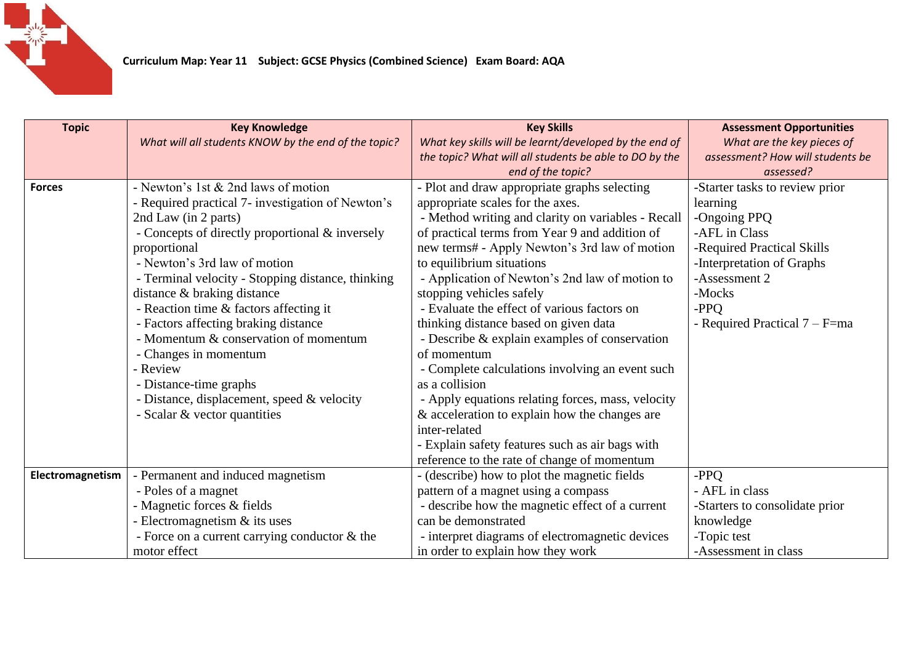

| <b>Topic</b>     | <b>Key Knowledge</b>                                 | <b>Key Skills</b>                                      | <b>Assessment Opportunities</b>  |
|------------------|------------------------------------------------------|--------------------------------------------------------|----------------------------------|
|                  | What will all students KNOW by the end of the topic? | What key skills will be learnt/developed by the end of | What are the key pieces of       |
|                  |                                                      | the topic? What will all students be able to DO by the | assessment? How will students be |
|                  |                                                      | end of the topic?                                      | assessed?                        |
| <b>Forces</b>    | - Newton's 1st & 2nd laws of motion                  | - Plot and draw appropriate graphs selecting           | -Starter tasks to review prior   |
|                  | - Required practical 7- investigation of Newton's    | appropriate scales for the axes.                       | learning                         |
|                  | 2nd Law (in 2 parts)                                 | - Method writing and clarity on variables - Recall     | -Ongoing PPQ                     |
|                  | - Concepts of directly proportional & inversely      | of practical terms from Year 9 and addition of         | -AFL in Class                    |
|                  | proportional                                         | new terms# - Apply Newton's 3rd law of motion          | -Required Practical Skills       |
|                  | - Newton's 3rd law of motion                         | to equilibrium situations                              | -Interpretation of Graphs        |
|                  | - Terminal velocity - Stopping distance, thinking    | - Application of Newton's 2nd law of motion to         | -Assessment 2                    |
|                  | distance & braking distance                          | stopping vehicles safely                               | -Mocks                           |
|                  | - Reaction time & factors affecting it               | - Evaluate the effect of various factors on            | -PPO                             |
|                  | - Factors affecting braking distance                 | thinking distance based on given data                  | - Required Practical 7 – F=ma    |
|                  | - Momentum & conservation of momentum                | - Describe & explain examples of conservation          |                                  |
|                  | - Changes in momentum                                | of momentum                                            |                                  |
|                  | - Review                                             | - Complete calculations involving an event such        |                                  |
|                  | - Distance-time graphs                               | as a collision                                         |                                  |
|                  | - Distance, displacement, speed & velocity           | - Apply equations relating forces, mass, velocity      |                                  |
|                  | - Scalar & vector quantities                         | & acceleration to explain how the changes are          |                                  |
|                  |                                                      | inter-related                                          |                                  |
|                  |                                                      | - Explain safety features such as air bags with        |                                  |
|                  |                                                      | reference to the rate of change of momentum            |                                  |
| Electromagnetism | - Permanent and induced magnetism                    | - (describe) how to plot the magnetic fields           | -PPQ                             |
|                  | - Poles of a magnet                                  | pattern of a magnet using a compass                    | - AFL in class                   |
|                  | - Magnetic forces & fields                           | - describe how the magnetic effect of a current        | -Starters to consolidate prior   |
|                  | - Electromagnetism $\&$ its uses                     | can be demonstrated                                    | knowledge                        |
|                  | - Force on a current carrying conductor $&$ the      | - interpret diagrams of electromagnetic devices        | -Topic test                      |
|                  | motor effect                                         | in order to explain how they work                      | -Assessment in class             |